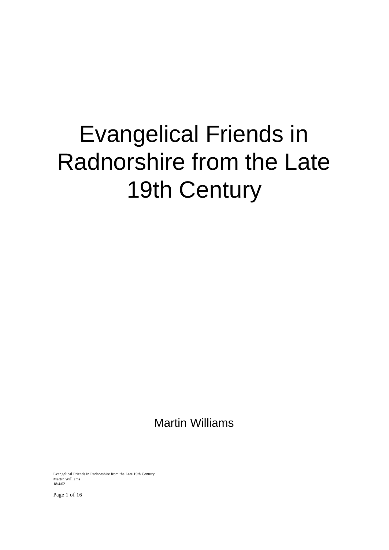# Evangelical Friends in Radnorshire from the Late 19th Century

Martin Williams

Evangelical Friends in Radnorshire from the Late 19th Century Martin Williams 18/4/02

Page 1 of 16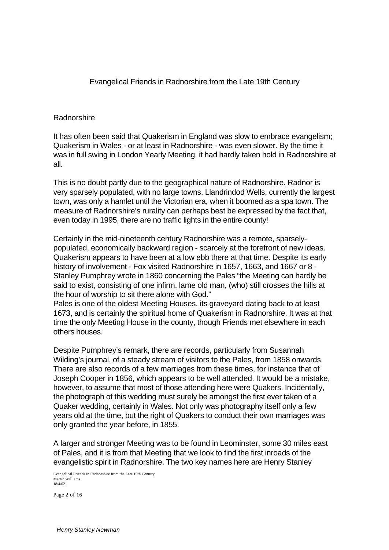Evangelical Friends in Radnorshire from the Late 19th Century

### Radnorshire

It has often been said that Quakerism in England was slow to embrace evangelism; Quakerism in Wales - or at least in Radnorshire - was even slower. By the time it was in full swing in London Yearly Meeting, it had hardly taken hold in Radnorshire at all.

This is no doubt partly due to the geographical nature of Radnorshire. Radnor is very sparsely populated, with no large towns. Llandrindod Wells, currently the largest town, was only a hamlet until the Victorian era, when it boomed as a spa town. The measure of Radnorshire's rurality can perhaps best be expressed by the fact that, even today in 1995, there are no traffic lights in the entire county!

Certainly in the mid-nineteenth century Radnorshire was a remote, sparselypopulated, economically backward region - scarcely at the forefront of new ideas. Quakerism appears to have been at a low ebb there at that time. Despite its early history of involvement - Fox visited Radnorshire in 1657, 1663, and 1667 or 8 - Stanley Pumphrey wrote in 1860 concerning the Pales "the Meeting can hardly be said to exist, consisting of one infirm, lame old man, (who) still crosses the hills at the hour of worship to sit there alone with God."

Pales is one of the oldest Meeting Houses, its graveyard dating back to at least 1673, and is certainly the spiritual home of Quakerism in Radnorshire. It was at that time the only Meeting House in the county, though Friends met elsewhere in each others houses.

Despite Pumphrey's remark, there are records, particularly from Susannah Wilding's journal, of a steady stream of visitors to the Pales, from 1858 onwards. There are also records of a few marriages from these times, for instance that of Joseph Cooper in 1856, which appears to be well attended. It would be a mistake, however, to assume that most of those attending here were Quakers. Incidentally, the photograph of this wedding must surely be amongst the first ever taken of a Quaker wedding, certainly in Wales. Not only was photography itself only a few years old at the time, but the right of Quakers to conduct their own marriages was only granted the year before, in 1855.

A larger and stronger Meeting was to be found in Leominster, some 30 miles east of Pales, and it is from that Meeting that we look to find the first inroads of the evangelistic spirit in Radnorshire. The two key names here are Henry Stanley

Evangelical Friends in Radnorshire from the Late 19th Century Martin Williams 18/4/02

Page 2 of 16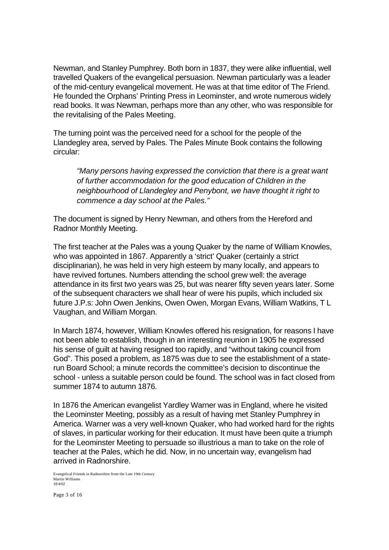Newman, and Stanley Pumphrey. Both born in 1837, they were alike influential, well travelled Quakers of the evangelical persuasion. Newman particularly was a leader of the mid-century evangelical movement. He was at that time editor of The Friend. He founded the Orphans' Printing Press in Leominster, and wrote numerous widely read books. It was Newman, perhaps more than any other, who was responsible for the revitalising of the Pales Meeting.

The turning point was the perceived need for a school for the people of the Llandegley area, served by Pales. The Pales Minute Book contains the following circular:

*"Many persons having expressed the conviction that there is a great want of further accommodation for the good education of Children in the neighbourhood of Llandegley and Penybont, we have thought it right to commence a day school at the Pales."*

The document is signed by Henry Newman, and others from the Hereford and Radnor Monthly Meeting.

The first teacher at the Pales was a young Quaker by the name of William Knowles, who was appointed in 1867. Apparently a 'strict' Quaker (certainly a strict disciplinarian), he was held in very high esteem by many locally, and appears to have revived fortunes. Numbers attending the school grew well: the average attendance in its first two years was 25, but was nearer fifty seven years later. Some of the subsequent characters we shall hear of were his pupils, which included six future J.P.s: John Owen Jenkins, Owen Owen, Morgan Evans, William Watkins, T L Vaughan, and William Morgan.

In March 1874, however, William Knowles offered his resignation, for reasons I have not been able to establish, though in an interesting reunion in 1905 he expressed his sense of guilt at having resigned too rapidly, and "without taking council from God". This posed a problem, as 1875 was due to see the establishment of a staterun Board School; a minute records the committee's decision to discontinue the school - unless a suitable person could be found. The school was in fact closed from summer 1874 to autumn 1876.

In 1876 the American evangelist Yardley Warner was in England, where he visited the Leominster Meeting, possibly as a result of having met Stanley Pumphrey in America. Warner was a very well-known Quaker, who had worked hard for the rights of slaves, in particular working for their education. It must have been quite a triumph for the Leominster Meeting to persuade so illustrious a man to take on the role of teacher at the Pales, which he did. Now, in no uncertain way, evangelism had arrived in Radnorshire.

Evangelical Friends in Radnorshire from the Late 19th Century Martin Williams 18/4/02

Page 3 of 16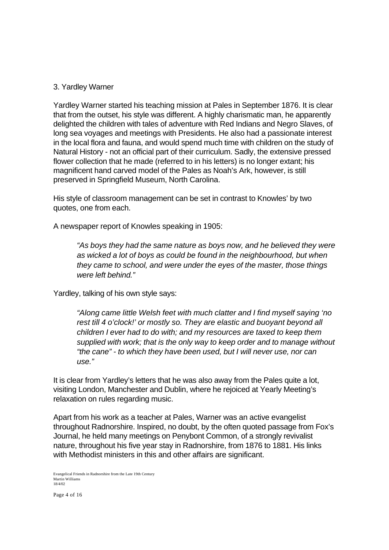### 3. Yardley Warner

Yardley Warner started his teaching mission at Pales in September 1876. It is clear that from the outset, his style was different. A highly charismatic man, he apparently delighted the children with tales of adventure with Red Indians and Negro Slaves, of long sea voyages and meetings with Presidents. He also had a passionate interest in the local flora and fauna, and would spend much time with children on the study of Natural History - not an official part of their curriculum. Sadly, the extensive pressed flower collection that he made (referred to in his letters) is no longer extant; his magnificent hand carved model of the Pales as Noah's Ark, however, is still preserved in Springfield Museum, North Carolina.

His style of classroom management can be set in contrast to Knowles' by two quotes, one from each.

A newspaper report of Knowles speaking in 1905:

*"As boys they had the same nature as boys now, and he believed they were as wicked a lot of boys as could be found in the neighbourhood, but when they came to school, and were under the eyes of the master, those things were left behind."*

Yardley, talking of his own style says:

*"Along came little Welsh feet with much clatter and I find myself saying 'no rest till 4 o'clock!' or mostly so. They are elastic and buoyant beyond all children I ever had to do with; and my resources are taxed to keep them supplied with work; that is the only way to keep order and to manage without "the cane" - to which they have been used, but I will never use, nor can use."*

It is clear from Yardley's letters that he was also away from the Pales quite a lot, visiting London, Manchester and Dublin, where he rejoiced at Yearly Meeting's relaxation on rules regarding music.

Apart from his work as a teacher at Pales, Warner was an active evangelist throughout Radnorshire. Inspired, no doubt, by the often quoted passage from Fox's Journal, he held many meetings on Penybont Common, of a strongly revivalist nature, throughout his five year stay in Radnorshire, from 1876 to 1881. His links with Methodist ministers in this and other affairs are significant.

Evangelical Friends in Radnorshire from the Late 19th Century Martin Williams 18/4/02

Page 4 of 16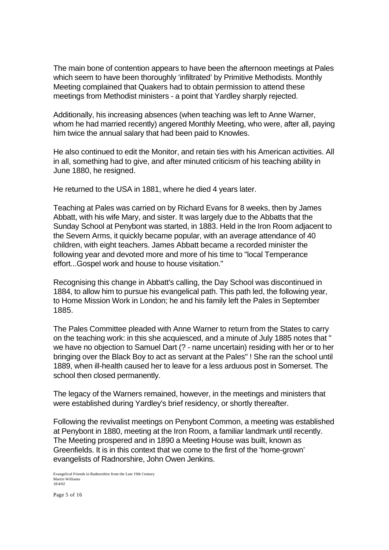The main bone of contention appears to have been the afternoon meetings at Pales which seem to have been thoroughly 'infiltrated' by Primitive Methodists. Monthly Meeting complained that Quakers had to obtain permission to attend these meetings from Methodist ministers - a point that Yardley sharply rejected.

Additionally, his increasing absences (when teaching was left to Anne Warner, whom he had married recently) angered Monthly Meeting, who were, after all, paying him twice the annual salary that had been paid to Knowles.

He also continued to edit the Monitor, and retain ties with his American activities. All in all, something had to give, and after minuted criticism of his teaching ability in June 1880, he resigned.

He returned to the USA in 1881, where he died 4 years later.

Teaching at Pales was carried on by Richard Evans for 8 weeks, then by James Abbatt, with his wife Mary, and sister. It was largely due to the Abbatts that the Sunday School at Penybont was started, in 1883. Held in the Iron Room adjacent to the Severn Arms, it quickly became popular, with an average attendance of 40 children, with eight teachers. James Abbatt became a recorded minister the following year and devoted more and more of his time to "local Temperance effort...Gospel work and house to house visitation."

Recognising this change in Abbatt's calling, the Day School was discontinued in 1884, to allow him to pursue his evangelical path. This path led, the following year, to Home Mission Work in London; he and his family left the Pales in September 1885.

The Pales Committee pleaded with Anne Warner to return from the States to carry on the teaching work: in this she acquiesced, and a minute of July 1885 notes that " we have no objection to Samuel Dart (? - name uncertain) residing with her or to her bringing over the Black Boy to act as servant at the Pales" ! She ran the school until 1889, when ill-health caused her to leave for a less arduous post in Somerset. The school then closed permanently.

The legacy of the Warners remained, however, in the meetings and ministers that were established during Yardley's brief residency, or shortly thereafter.

Following the revivalist meetings on Penybont Common, a meeting was established at Penybont in 1880, meeting at the Iron Room, a familiar landmark until recently. The Meeting prospered and in 1890 a Meeting House was built, known as Greenfields. It is in this context that we come to the first of the 'home-grown' evangelists of Radnorshire, John Owen Jenkins.

Evangelical Friends in Radnorshire from the Late 19th Century Martin Williams 18/4/02

Page 5 of 16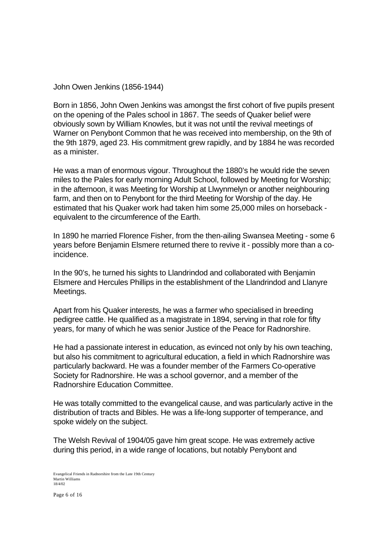John Owen Jenkins (1856-1944)

Born in 1856, John Owen Jenkins was amongst the first cohort of five pupils present on the opening of the Pales school in 1867. The seeds of Quaker belief were obviously sown by William Knowles, but it was not until the revival meetings of Warner on Penybont Common that he was received into membership, on the 9th of the 9th 1879, aged 23. His commitment grew rapidly, and by 1884 he was recorded as a minister.

He was a man of enormous vigour. Throughout the 1880's he would ride the seven miles to the Pales for early morning Adult School, followed by Meeting for Worship; in the afternoon, it was Meeting for Worship at Llwynmelyn or another neighbouring farm, and then on to Penybont for the third Meeting for Worship of the day. He estimated that his Quaker work had taken him some 25,000 miles on horseback equivalent to the circumference of the Earth.

In 1890 he married Florence Fisher, from the then-ailing Swansea Meeting - some 6 years before Benjamin Elsmere returned there to revive it - possibly more than a coincidence.

In the 90's, he turned his sights to Llandrindod and collaborated with Benjamin Elsmere and Hercules Phillips in the establishment of the Llandrindod and Llanyre Meetings.

Apart from his Quaker interests, he was a farmer who specialised in breeding pedigree cattle. He qualified as a magistrate in 1894, serving in that role for fifty years, for many of which he was senior Justice of the Peace for Radnorshire.

He had a passionate interest in education, as evinced not only by his own teaching, but also his commitment to agricultural education, a field in which Radnorshire was particularly backward. He was a founder member of the Farmers Co-operative Society for Radnorshire. He was a school governor, and a member of the Radnorshire Education Committee.

He was totally committed to the evangelical cause, and was particularly active in the distribution of tracts and Bibles. He was a life-long supporter of temperance, and spoke widely on the subject.

The Welsh Revival of 1904/05 gave him great scope. He was extremely active during this period, in a wide range of locations, but notably Penybont and

Evangelical Friends in Radnorshire from the Late 19th Century Martin Williams 18/4/02

Page 6 of 16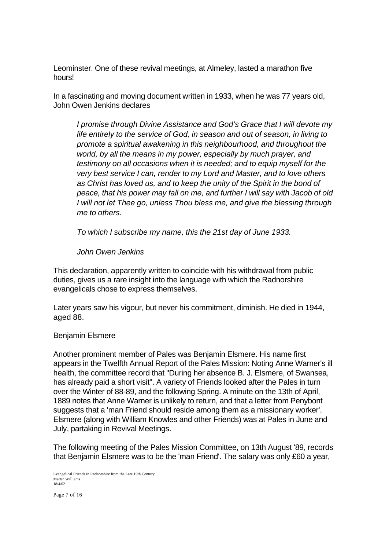Leominster. One of these revival meetings, at Almeley, lasted a marathon five hours!

In a fascinating and moving document written in 1933, when he was 77 years old, John Owen Jenkins declares

*I promise through Divine Assistance and God's Grace that I will devote my life entirely to the service of God, in season and out of season, in living to promote a spiritual awakening in this neighbourhood, and throughout the world, by all the means in my power, especially by much prayer, and testimony on all occasions when it is needed; and to equip myself for the very best service I can, render to my Lord and Master, and to love others as Christ has loved us, and to keep the unity of the Spirit in the bond of peace, that his power may fall on me, and further I will say with Jacob of old I will not let Thee go, unless Thou bless me, and give the blessing through me to others.*

*To which I subscribe my name, this the 21st day of June 1933.*

# *John Owen Jenkins*

This declaration, apparently written to coincide with his withdrawal from public duties, gives us a rare insight into the language with which the Radnorshire evangelicals chose to express themselves.

Later years saw his vigour, but never his commitment, diminish. He died in 1944, aged 88.

# Benjamin Elsmere

Another prominent member of Pales was Benjamin Elsmere. His name first appears in the Twelfth Annual Report of the Pales Mission: Noting Anne Warner's ill health, the committee record that "During her absence B. J. Elsmere, of Swansea, has already paid a short visit". A variety of Friends looked after the Pales in turn over the Winter of 88-89, and the following Spring. A minute on the 13th of April, 1889 notes that Anne Warner is unlikely to return, and that a letter from Penybont suggests that a 'man Friend should reside among them as a missionary worker'. Elsmere (along with William Knowles and other Friends) was at Pales in June and July, partaking in Revival Meetings.

The following meeting of the Pales Mission Committee, on 13th August '89, records that Benjamin Elsmere was to be the 'man Friend'. The salary was only £60 a year,

Evangelical Friends in Radnorshire from the Late 19th Century Martin Williams 18/4/02

Page 7 of 16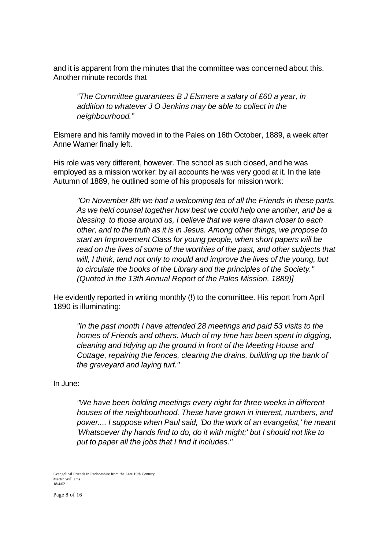and it is apparent from the minutes that the committee was concerned about this. Another minute records that

*"The Committee guarantees B J Elsmere a salary of £60 a year, in addition to whatever J O Jenkins may be able to collect in the neighbourhood."*

Elsmere and his family moved in to the Pales on 16th October, 1889, a week after Anne Warner finally left.

His role was very different, however. The school as such closed, and he was employed as a mission worker: by all accounts he was very good at it. In the late Autumn of 1889, he outlined some of his proposals for mission work:

*"On November 8th we had a welcoming tea of all the Friends in these parts. As we held counsel together how best we could help one another, and be a blessing to those around us, I believe that we were drawn closer to each other, and to the truth as it is in Jesus. Among other things, we propose to start an Improvement Class for young people, when short papers will be read on the lives of some of the worthies of the past, and other subjects that will, I think, tend not only to mould and improve the lives of the young, but to circulate the books of the Library and the principles of the Society." (Quoted in the 13th Annual Report of the Pales Mission, 1889)]*

He evidently reported in writing monthly (!) to the committee. His report from April 1890 is illuminating:

*"In the past month I have attended 28 meetings and paid 53 visits to the homes of Friends and others. Much of my time has been spent in digging, cleaning and tidying up the ground in front of the Meeting House and Cottage, repairing the fences, clearing the drains, building up the bank of the graveyard and laying turf."*

In June:

*"We have been holding meetings every night for three weeks in different houses of the neighbourhood. These have grown in interest, numbers, and power.... I suppose when Paul said, 'Do the work of an evangelist,' he meant 'Whatsoever thy hands find to do, do it with might;' but I should not like to put to paper all the jobs that I find it includes."*

Evangelical Friends in Radnorshire from the Late 19th Century Martin Williams 18/4/02

Page 8 of 16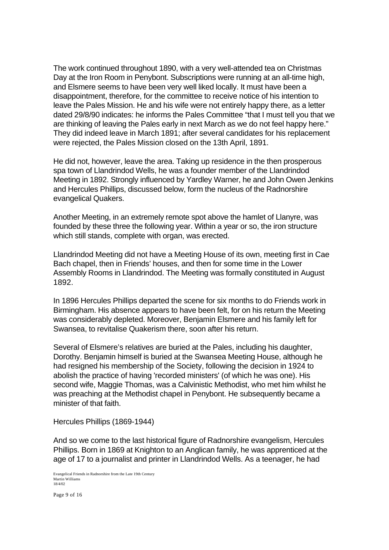The work continued throughout 1890, with a very well-attended tea on Christmas Day at the Iron Room in Penybont. Subscriptions were running at an all-time high, and Elsmere seems to have been very well liked locally. It must have been a disappointment, therefore, for the committee to receive notice of his intention to leave the Pales Mission. He and his wife were not entirely happy there, as a letter dated 29/8/90 indicates: he informs the Pales Committee "that I must tell you that we are thinking of leaving the Pales early in next March as we do not feel happy here." They did indeed leave in March 1891; after several candidates for his replacement were rejected, the Pales Mission closed on the 13th April, 1891.

He did not, however, leave the area. Taking up residence in the then prosperous spa town of Llandrindod Wells, he was a founder member of the Llandrindod Meeting in 1892. Strongly influenced by Yardley Warner, he and John Owen Jenkins and Hercules Phillips, discussed below, form the nucleus of the Radnorshire evangelical Quakers.

Another Meeting, in an extremely remote spot above the hamlet of Llanyre, was founded by these three the following year. Within a year or so, the iron structure which still stands, complete with organ, was erected.

Llandrindod Meeting did not have a Meeting House of its own, meeting first in Cae Bach chapel, then in Friends' houses, and then for some time in the Lower Assembly Rooms in Llandrindod. The Meeting was formally constituted in August 1892.

In 1896 Hercules Phillips departed the scene for six months to do Friends work in Birmingham. His absence appears to have been felt, for on his return the Meeting was considerably depleted. Moreover, Benjamin Elsmere and his family left for Swansea, to revitalise Quakerism there, soon after his return.

Several of Elsmere's relatives are buried at the Pales, including his daughter, Dorothy. Benjamin himself is buried at the Swansea Meeting House, although he had resigned his membership of the Society, following the decision in 1924 to abolish the practice of having 'recorded ministers' (of which he was one). His second wife, Maggie Thomas, was a Calvinistic Methodist, who met him whilst he was preaching at the Methodist chapel in Penybont. He subsequently became a minister of that faith.

Hercules Phillips (1869-1944)

And so we come to the last historical figure of Radnorshire evangelism, Hercules Phillips. Born in 1869 at Knighton to an Anglican family, he was apprenticed at the age of 17 to a journalist and printer in Llandrindod Wells. As a teenager, he had

Evangelical Friends in Radnorshire from the Late 19th Century Martin Williams 18/4/02

Page 9 of 16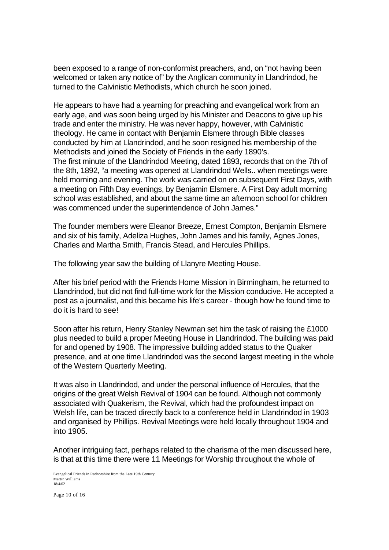been exposed to a range of non-conformist preachers, and, on "not having been welcomed or taken any notice of" by the Anglican community in Llandrindod, he turned to the Calvinistic Methodists, which church he soon joined.

He appears to have had a yearning for preaching and evangelical work from an early age, and was soon being urged by his Minister and Deacons to give up his trade and enter the ministry. He was never happy, however, with Calvinistic theology. He came in contact with Benjamin Elsmere through Bible classes conducted by him at Llandrindod, and he soon resigned his membership of the Methodists and joined the Society of Friends in the early 1890's. The first minute of the Llandrindod Meeting, dated 1893, records that on the 7th of the 8th, 1892, "a meeting was opened at Llandrindod Wells.. when meetings were held morning and evening. The work was carried on on subsequent First Days, with a meeting on Fifth Day evenings, by Benjamin Elsmere. A First Day adult morning school was established, and about the same time an afternoon school for children was commenced under the superintendence of John James."

The founder members were Eleanor Breeze, Ernest Compton, Benjamin Elsmere and six of his family, Adeliza Hughes, John James and his family, Agnes Jones, Charles and Martha Smith, Francis Stead, and Hercules Phillips.

The following year saw the building of Llanyre Meeting House.

After his brief period with the Friends Home Mission in Birmingham, he returned to Llandrindod, but did not find full-time work for the Mission conducive. He accepted a post as a journalist, and this became his life's career - though how he found time to do it is hard to see!

Soon after his return, Henry Stanley Newman set him the task of raising the £1000 plus needed to build a proper Meeting House in Llandrindod. The building was paid for and opened by 1908. The impressive building added status to the Quaker presence, and at one time Llandrindod was the second largest meeting in the whole of the Western Quarterly Meeting.

It was also in Llandrindod, and under the personal influence of Hercules, that the origins of the great Welsh Revival of 1904 can be found. Although not commonly associated with Quakerism, the Revival, which had the profoundest impact on Welsh life, can be traced directly back to a conference held in Llandrindod in 1903 and organised by Phillips. Revival Meetings were held locally throughout 1904 and into 1905.

Another intriguing fact, perhaps related to the charisma of the men discussed here, is that at this time there were 11 Meetings for Worship throughout the whole of

Evangelical Friends in Radnorshire from the Late 19th Century Martin Williams 18/4/02

Page 10 of 16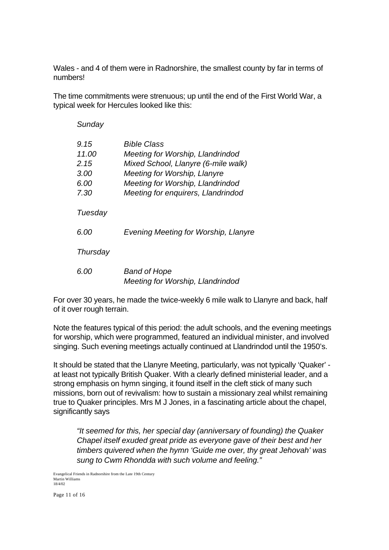Wales - and 4 of them were in Radnorshire, the smallest county by far in terms of numbers!

The time commitments were strenuous; up until the end of the First World War, a typical week for Hercules looked like this:

| Sunday                                        |                                                                                                                                                                                                  |
|-----------------------------------------------|--------------------------------------------------------------------------------------------------------------------------------------------------------------------------------------------------|
| 9.15<br>11.00<br>2.15<br>3.00<br>6.00<br>7.30 | Bible Class<br>Meeting for Worship, Llandrindod<br>Mixed School, Llanyre (6-mile walk)<br>Meeting for Worship, Llanyre<br>Meeting for Worship, Llandrindod<br>Meeting for enquirers, Llandrindod |
| Tuesday                                       |                                                                                                                                                                                                  |
| 6.00                                          | Evening Meeting for Worship, Llanyre                                                                                                                                                             |
| Thursday                                      |                                                                                                                                                                                                  |
| 6.00                                          | <b>Band of Hope</b><br>Meeting for Worship, Llandrindod                                                                                                                                          |

For over 30 years, he made the twice-weekly 6 mile walk to Llanyre and back, half of it over rough terrain.

Note the features typical of this period: the adult schools, and the evening meetings for worship, which were programmed, featured an individual minister, and involved singing. Such evening meetings actually continued at Llandrindod until the 1950's.

It should be stated that the Llanyre Meeting, particularly, was not typically 'Quaker' at least not typically British Quaker. With a clearly defined ministerial leader, and a strong emphasis on hymn singing, it found itself in the cleft stick of many such missions, born out of revivalism: how to sustain a missionary zeal whilst remaining true to Quaker principles. Mrs M J Jones, in a fascinating article about the chapel, significantly says

*"It seemed for this, her special day (anniversary of founding) the Quaker Chapel itself exuded great pride as everyone gave of their best and her timbers quivered when the hymn 'Guide me over, thy great Jehovah' was sung to Cwm Rhondda with such volume and feeling."*

Evangelical Friends in Radnorshire from the Late 19th Century Martin Williams 18/4/02

Page 11 of 16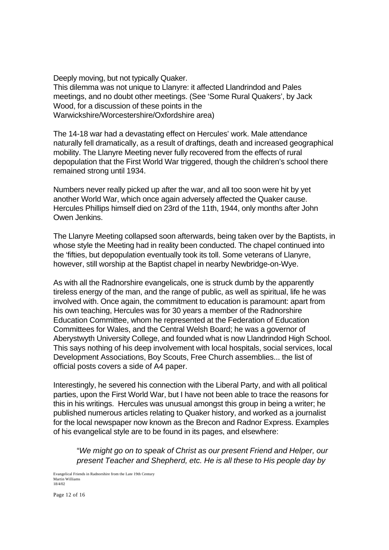Deeply moving, but not typically Quaker. This dilemma was not unique to Llanyre: it affected Llandrindod and Pales meetings, and no doubt other meetings. (See 'Some Rural Quakers', by Jack Wood, for a discussion of these points in the Warwickshire/Worcestershire/Oxfordshire area)

The 14-18 war had a devastating effect on Hercules' work. Male attendance naturally fell dramatically, as a result of draftings, death and increased geographical mobility. The Llanyre Meeting never fully recovered from the effects of rural depopulation that the First World War triggered, though the children's school there remained strong until 1934.

Numbers never really picked up after the war, and all too soon were hit by yet another World War, which once again adversely affected the Quaker cause. Hercules Phillips himself died on 23rd of the 11th, 1944, only months after John Owen Jenkins.

The Llanyre Meeting collapsed soon afterwards, being taken over by the Baptists, in whose style the Meeting had in reality been conducted. The chapel continued into the 'fifties, but depopulation eventually took its toll. Some veterans of Llanyre, however, still worship at the Baptist chapel in nearby Newbridge-on-Wye.

As with all the Radnorshire evangelicals, one is struck dumb by the apparently tireless energy of the man, and the range of public, as well as spiritual, life he was involved with. Once again, the commitment to education is paramount: apart from his own teaching, Hercules was for 30 years a member of the Radnorshire Education Committee, whom he represented at the Federation of Education Committees for Wales, and the Central Welsh Board; he was a governor of Aberystwyth University College, and founded what is now Llandrindod High School. This says nothing of his deep involvement with local hospitals, social services, local Development Associations, Boy Scouts, Free Church assemblies... the list of official posts covers a side of A4 paper.

Interestingly, he severed his connection with the Liberal Party, and with all political parties, upon the First World War, but I have not been able to trace the reasons for this in his writings. Hercules was unusual amongst this group in being a writer; he published numerous articles relating to Quaker history, and worked as a journalist for the local newspaper now known as the Brecon and Radnor Express. Examples of his evangelical style are to be found in its pages, and elsewhere:

"*We might go on to speak of Christ as our present Friend and Helper, our present Teacher and Shepherd, etc. He is all these to His people day by*

Evangelical Friends in Radnorshire from the Late 19th Century Martin Williams 18/4/02

Page 12 of 16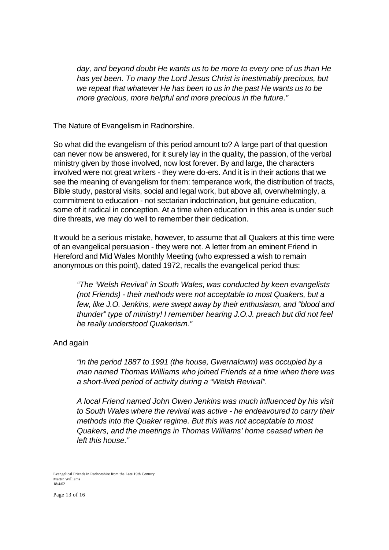*day, and beyond doubt He wants us to be more to every one of us than He has yet been. To many the Lord Jesus Christ is inestimably precious, but we repeat that whatever He has been to us in the past He wants us to be more gracious, more helpful and more precious in the future."*

The Nature of Evangelism in Radnorshire.

So what did the evangelism of this period amount to? A large part of that question can never now be answered, for it surely lay in the quality, the passion, of the verbal ministry given by those involved, now lost forever. By and large, the characters involved were not great writers - they were do-ers. And it is in their actions that we see the meaning of evangelism for them: temperance work, the distribution of tracts, Bible study, pastoral visits, social and legal work, but above all, overwhelmingly, a commitment to education - not sectarian indoctrination, but genuine education, some of it radical in conception. At a time when education in this area is under such dire threats, we may do well to remember their dedication.

It would be a serious mistake, however, to assume that all Quakers at this time were of an evangelical persuasion - they were not. A letter from an eminent Friend in Hereford and Mid Wales Monthly Meeting (who expressed a wish to remain anonymous on this point), dated 1972, recalls the evangelical period thus:

*"The 'Welsh Revival' in South Wales, was conducted by keen evangelists (not Friends) - their methods were not acceptable to most Quakers, but a few, like J.O. Jenkins, were swept away by their enthusiasm, and "blood and thunder" type of ministry! I remember hearing J.O.J. preach but did not feel he really understood Quakerism."*

And again

*"In the period 1887 to 1991 (the house, Gwernalcwm) was occupied by a man named Thomas Williams who joined Friends at a time when there was a short-lived period of activity during a "Welsh Revival".*

*A local Friend named John Owen Jenkins was much influenced by his visit to South Wales where the revival was active - he endeavoured to carry their methods into the Quaker regime. But this was not acceptable to most Quakers, and the meetings in Thomas Williams' home ceased when he left this house."*

Evangelical Friends in Radnorshire from the Late 19th Century Martin Williams 18/4/02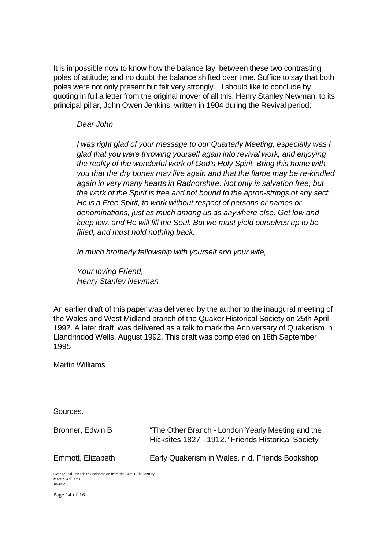It is impossible now to know how the balance lay, between these two contrasting poles of attitude; and no doubt the balance shifted over time. Suffice to say that both poles were not only present but felt very strongly. I should like to conclude by quoting in full a letter from the original mover of all this, Henry Stanley Newman, to its principal pillar, John Owen Jenkins, written in 1904 during the Revival period:

# *Dear John*

*I was right glad of your message to our Quarterly Meeting, especially was I glad that you were throwing yourself again into revival work, and enjoying the reality of the wonderful work of God's Holy Spirit. Bring this home with you that the dry bones may live again and that the flame may be re-kindled again in very many hearts in Radnorshire. Not only is salvation free, but the work of the Spirit is free and not bound to the apron-strings of any sect. He is a Free Spirit, to work without respect of persons or names or denominations, just as much among us as anywhere else. Get low and keep low, and He will fill the Soul. But we must yield ourselves up to be filled, and must hold nothing back.*

*In much brotherly fellowship with yourself and your wife,*

*Your loving Friend, Henry Stanley Newman*

An earlier draft of this paper was delivered by the author to the inaugural meeting of the Wales and West Midland branch of the Quaker Historical Society on 25th April 1992. A later draft was delivered as a talk to mark the Anniversary of Quakerism in Llandrindod Wells, August 1992. This draft was completed on 18th September 1995

Martin Williams

Sources.

Bronner, Edwin B "The Other Branch - London Yearly Meeting and the Hicksites 1827 - 1912." Friends Historical Society Emmott, Elizabeth Early Quakerism in Wales. n.d. Friends Bookshop

Evangelical Friends in Radnorshire from the Late 19th Century Martin Williams 18/4/02

Page 14 of 16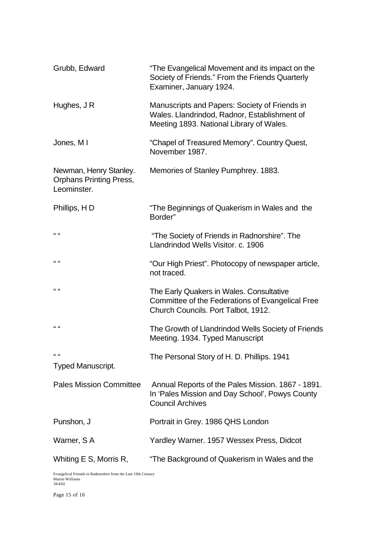| Grubb, Edward                                                           | "The Evangelical Movement and its impact on the<br>Society of Friends." From the Friends Quarterly<br>Examiner, January 1924.             |
|-------------------------------------------------------------------------|-------------------------------------------------------------------------------------------------------------------------------------------|
| Hughes, J R                                                             | Manuscripts and Papers: Society of Friends in<br>Wales. Llandrindod, Radnor, Establishment of<br>Meeting 1893. National Library of Wales. |
| Jones, M I                                                              | "Chapel of Treasured Memory". Country Quest,<br>November 1987.                                                                            |
| Newman, Henry Stanley.<br><b>Orphans Printing Press,</b><br>Leominster. | Memories of Stanley Pumphrey. 1883.                                                                                                       |
| Phillips, HD                                                            | "The Beginnings of Quakerism in Wales and the<br>Border"                                                                                  |
| $\mathbf{u}$                                                            | "The Society of Friends in Radnorshire". The<br>Llandrindod Wells Visitor. c. 1906                                                        |
| 66.66                                                                   | "Our High Priest". Photocopy of newspaper article,<br>not traced.                                                                         |
| 66.66                                                                   | The Early Quakers in Wales. Consultative<br>Committee of the Federations of Evangelical Free<br>Church Councils. Port Talbot, 1912.       |
| 66, 66                                                                  | The Growth of Llandrindod Wells Society of Friends<br>Meeting. 1934. Typed Manuscript                                                     |
| $\frac{1}{2}$<br><b>Typed Manuscript.</b>                               | The Personal Story of H. D. Phillips. 1941                                                                                                |
| <b>Pales Mission Committee</b>                                          | Annual Reports of the Pales Mission. 1867 - 1891.<br>In 'Pales Mission and Day School', Powys County<br><b>Council Archives</b>           |
| Punshon, J                                                              | Portrait in Grey. 1986 QHS London                                                                                                         |
| Warner, SA                                                              | Yardley Warner. 1957 Wessex Press, Didcot                                                                                                 |
| Whiting E S, Morris R,                                                  | "The Background of Quakerism in Wales and the                                                                                             |

Evangelical Friends in Radnorshire from the Late 19th Century Martin Williams 18/4/02

Page 15 of 16